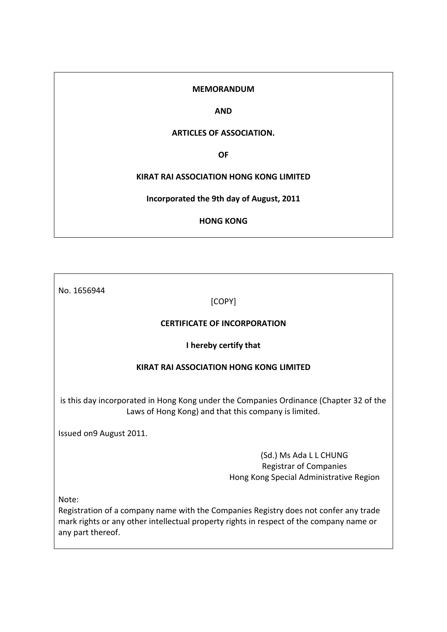### **MEMORANDUM**

### **AND**

## **ARTICLES OF ASSOCIATION.**

**OF**

## **KIRAT RAI ASSOCIATION HONG KONG LIMITED**

**Incorporated the 9th day of August, 2011**

# **HONG KONG**

No. 1656944

[COPY]

## **CERTIFICATE OF INCORPORATION**

## **I hereby certify that**

## **KIRAT RAI ASSOCIATION HONG KONG LIMITED**

is this day incorporated in Hong Kong under the Companies Ordinance (Chapter 32 of the Laws of Hong Kong) and that this company is limited.

Issued on9 August 2011.

(Sd.) Ms Ada L L CHUNG Registrar of Companies Hong Kong Special Administrative Region

Note:

Registration of a company name with the Companies Registry does not confer any trade mark rights or any other intellectual property rights in respect of the company name or any part thereof.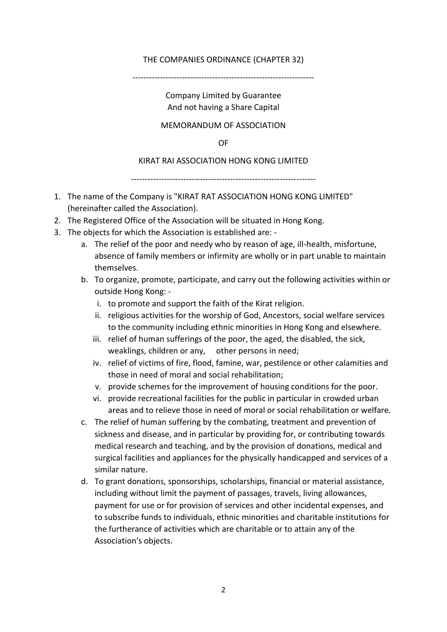# THE COMPANIES ORDINANCE (CHAPTER 32)

------------------------------------------------------------------

Company Limited by Guarantee And not having a Share Capital

# MEMORANDUM OF ASSOCIATION

OF

# KIRAT RAI ASSOCIATION HONG KONG LIMITED

-------------------------------------------------------------------

- 1. The name of the Company is "KIRAT RAT ASSOCIATION HONG KONG LIMITED" (hereinafter called the Association).
- 2. The Registered Office of the Association will be situated in Hong Kong.
- 3. The objects for which the Association is established are:
	- a. The relief of the poor and needy who by reason of age, ill-health, misfortune, absence of family members or infirmity are wholly or in part unable to maintain themselves.
	- b. To organize, promote, participate, and carry out the following activities within or outside Hong Kong:
		- i. to promote and support the faith of the Kirat religion.
		- ii. religious activities for the worship of God, Ancestors, social welfare services to the community including ethnic minorities in Hong Kong and elsewhere.
		- iii. relief of human sufferings of the poor, the aged, the disabled, the sick, weaklings, children or any, other persons in need;
		- iv. relief of victims of fire, flood, famine, war, pestilence or other calamities and those in need of moral and social rehabilitation;
		- v. provide schemes for the improvement of housing conditions for the poor.
		- vi. provide recreational facilities for the public in particular in crowded urban areas and to relieve those in need of moral or social rehabilitation or welfare.
	- c. The relief of human suffering by the combating, treatment and prevention of sickness and disease, and in particular by providing for, or contributing towards medical research and teaching, and by the provision of donations, medical and surgical facilities and appliances for the physically handicapped and services of a similar nature.
	- d. To grant donations, sponsorships, scholarships, financial or material assistance, including without limit the payment of passages, travels, living allowances, payment for use or for provision of services and other incidental expenses, and to subscribe funds to individuals, ethnic minorities and charitable institutions for the furtherance of activities which are charitable or to attain any of the Association's objects.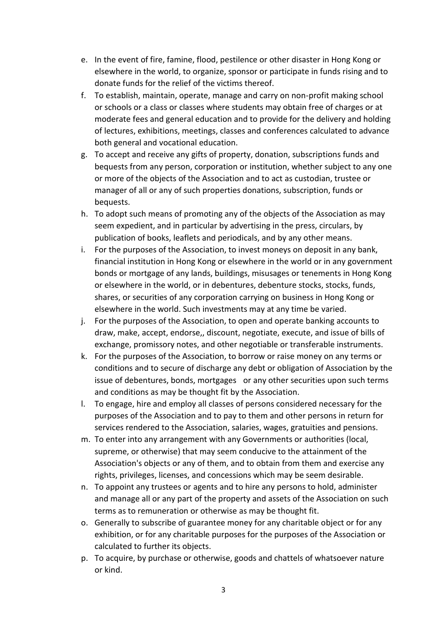- e. In the event of fire, famine, flood, pestilence or other disaster in Hong Kong or elsewhere in the world, to organize, sponsor or participate in funds rising and to donate funds for the relief of the victims thereof.
- f. To establish, maintain, operate, manage and carry on non-profit making school or schools or a class or classes where students may obtain free of charges or at moderate fees and general education and to provide for the delivery and holding of lectures, exhibitions, meetings, classes and conferences calculated to advance both general and vocational education.
- g. To accept and receive any gifts of property, donation, subscriptions funds and bequests from any person, corporation or institution, whether subject to any one or more of the objects of the Association and to act as custodian, trustee or manager of all or any of such properties donations, subscription, funds or bequests.
- h. To adopt such means of promoting any of the objects of the Association as may seem expedient, and in particular by advertising in the press, circulars, by publication of books, leaflets and periodicals, and by any other means.
- i. For the purposes of the Association, to invest moneys on deposit in any bank, financial institution in Hong Kong or elsewhere in the world or in any government bonds or mortgage of any lands, buildings, misusages or tenements in Hong Kong or elsewhere in the world, or in debentures, debenture stocks, stocks, funds, shares, or securities of any corporation carrying on business in Hong Kong or elsewhere in the world. Such investments may at any time be varied.
- j. For the purposes of the Association, to open and operate banking accounts to draw, make, accept, endorse,, discount, negotiate, execute, and issue of bills of exchange, promissory notes, and other negotiable or transferable instruments.
- k. For the purposes of the Association, to borrow or raise money on any terms or conditions and to secure of discharge any debt or obligation of Association by the issue of debentures, bonds, mortgages or any other securities upon such terms and conditions as may be thought fit by the Association.
- l. To engage, hire and employ all classes of persons considered necessary for the purposes of the Association and to pay to them and other persons in return for services rendered to the Association, salaries, wages, gratuities and pensions.
- m. To enter into any arrangement with any Governments or authorities (local, supreme, or otherwise) that may seem conducive to the attainment of the Association's objects or any of them, and to obtain from them and exercise any rights, privileges, licenses, and concessions which may be seem desirable.
- n. To appoint any trustees or agents and to hire any persons to hold, administer and manage all or any part of the property and assets of the Association on such terms as to remuneration or otherwise as may be thought fit.
- o. Generally to subscribe of guarantee money for any charitable object or for any exhibition, or for any charitable purposes for the purposes of the Association or calculated to further its objects.
- p. To acquire, by purchase or otherwise, goods and chattels of whatsoever nature or kind.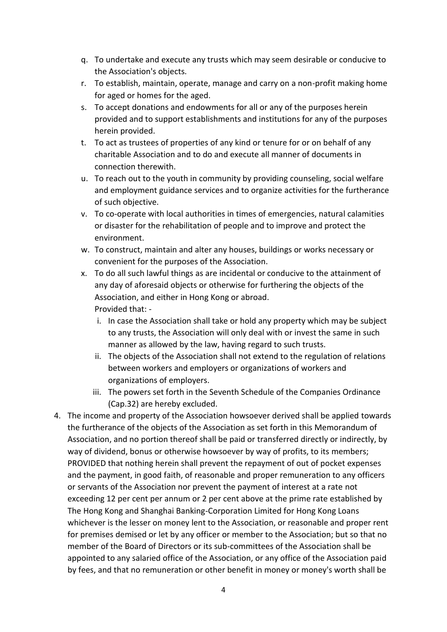- q. To undertake and execute any trusts which may seem desirable or conducive to the Association's objects.
- r. To establish, maintain, operate, manage and carry on a non-profit making home for aged or homes for the aged.
- s. To accept donations and endowments for all or any of the purposes herein provided and to support establishments and institutions for any of the purposes herein provided.
- t. To act as trustees of properties of any kind or tenure for or on behalf of any charitable Association and to do and execute all manner of documents in connection therewith.
- u. To reach out to the youth in community by providing counseling, social welfare and employment guidance services and to organize activities for the furtherance of such objective.
- v. To co-operate with local authorities in times of emergencies, natural calamities or disaster for the rehabilitation of people and to improve and protect the environment.
- w. To construct, maintain and alter any houses, buildings or works necessary or convenient for the purposes of the Association.
- x. To do all such lawful things as are incidental or conducive to the attainment of any day of aforesaid objects or otherwise for furthering the objects of the Association, and either in Hong Kong or abroad. Provided that:
	- i. In case the Association shall take or hold any property which may be subject to any trusts, the Association will only deal with or invest the same in such manner as allowed by the law, having regard to such trusts.
	- ii. The objects of the Association shall not extend to the regulation of relations between workers and employers or organizations of workers and organizations of employers.
	- iii. The powers set forth in the Seventh Schedule of the Companies Ordinance (Cap.32) are hereby excluded.
- 4. The income and property of the Association howsoever derived shall be applied towards the furtherance of the objects of the Association as set forth in this Memorandum of Association, and no portion thereof shall be paid or transferred directly or indirectly, by way of dividend, bonus or otherwise howsoever by way of profits, to its members; PROVIDED that nothing herein shall prevent the repayment of out of pocket expenses and the payment, in good faith, of reasonable and proper remuneration to any officers or servants of the Association nor prevent the payment of interest at a rate not exceeding 12 per cent per annum or 2 per cent above at the prime rate established by The Hong Kong and Shanghai Banking-Corporation Limited for Hong Kong Loans whichever is the lesser on money lent to the Association, or reasonable and proper rent for premises demised or let by any officer or member to the Association; but so that no member of the Board of Directors or its sub-committees of the Association shall be appointed to any salaried office of the Association, or any office of the Association paid by fees, and that no remuneration or other benefit in money or money's worth shall be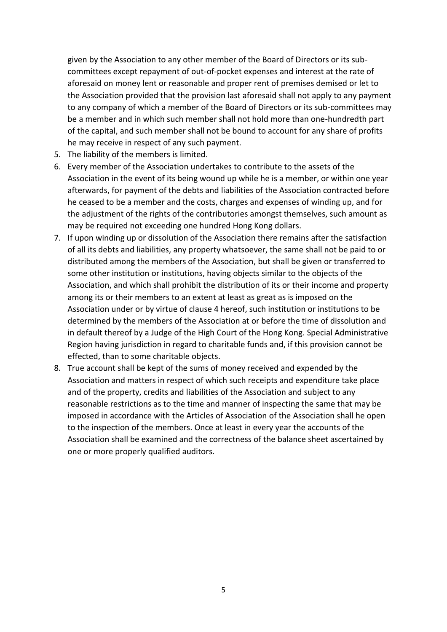given by the Association to any other member of the Board of Directors or its subcommittees except repayment of out-of-pocket expenses and interest at the rate of aforesaid on money lent or reasonable and proper rent of premises demised or let to the Association provided that the provision last aforesaid shall not apply to any payment to any company of which a member of the Board of Directors or its sub-committees may be a member and in which such member shall not hold more than one-hundredth part of the capital, and such member shall not be bound to account for any share of profits he may receive in respect of any such payment.

- 5. The liability of the members is limited.
- 6. Every member of the Association undertakes to contribute to the assets of the Association in the event of its being wound up while he is a member, or within one year afterwards, for payment of the debts and liabilities of the Association contracted before he ceased to be a member and the costs, charges and expenses of winding up, and for the adjustment of the rights of the contributories amongst themselves, such amount as may be required not exceeding one hundred Hong Kong dollars.
- 7. If upon winding up or dissolution of the Association there remains after the satisfaction of all its debts and liabilities, any property whatsoever, the same shall not be paid to or distributed among the members of the Association, but shall be given or transferred to some other institution or institutions, having objects similar to the objects of the Association, and which shall prohibit the distribution of its or their income and property among its or their members to an extent at least as great as is imposed on the Association under or by virtue of clause 4 hereof, such institution or institutions to be determined by the members of the Association at or before the time of dissolution and in default thereof by a Judge of the High Court of the Hong Kong. Special Administrative Region having jurisdiction in regard to charitable funds and, if this provision cannot be effected, than to some charitable objects.
- 8. True account shall be kept of the sums of money received and expended by the Association and matters in respect of which such receipts and expenditure take place and of the property, credits and liabilities of the Association and subject to any reasonable restrictions as to the time and manner of inspecting the same that may be imposed in accordance with the Articles of Association of the Association shall he open to the inspection of the members. Once at least in every year the accounts of the Association shall be examined and the correctness of the balance sheet ascertained by one or more properly qualified auditors.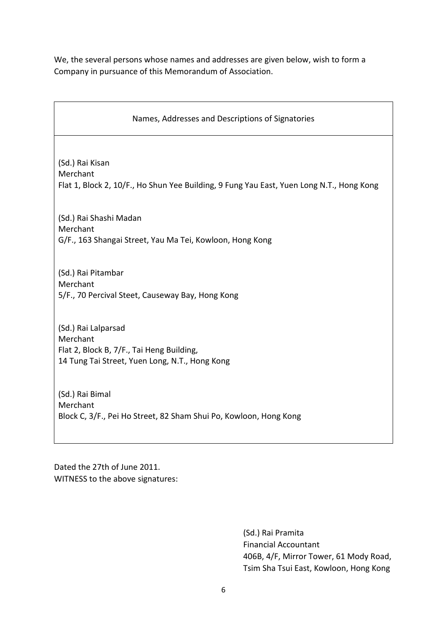We, the several persons whose names and addresses are given below, wish to form a Company in pursuance of this Memorandum of Association.

| Names, Addresses and Descriptions of Signatories                                                                               |
|--------------------------------------------------------------------------------------------------------------------------------|
| (Sd.) Rai Kisan<br>Merchant<br>Flat 1, Block 2, 10/F., Ho Shun Yee Building, 9 Fung Yau East, Yuen Long N.T., Hong Kong        |
| (Sd.) Rai Shashi Madan<br>Merchant<br>G/F., 163 Shangai Street, Yau Ma Tei, Kowloon, Hong Kong                                 |
| (Sd.) Rai Pitambar<br>Merchant<br>5/F., 70 Percival Steet, Causeway Bay, Hong Kong                                             |
| (Sd.) Rai Lalparsad<br>Merchant<br>Flat 2, Block B, 7/F., Tai Heng Building,<br>14 Tung Tai Street, Yuen Long, N.T., Hong Kong |
| (Sd.) Rai Bimal<br>Merchant<br>Block C, 3/F., Pei Ho Street, 82 Sham Shui Po, Kowloon, Hong Kong                               |

Dated the 27th of June 2011. WITNESS to the above signatures:

> (Sd.) Rai Pramita Financial Accountant 406B, 4/F, Mirror Tower, 61 Mody Road, Tsim Sha Tsui East, Kowloon, Hong Kong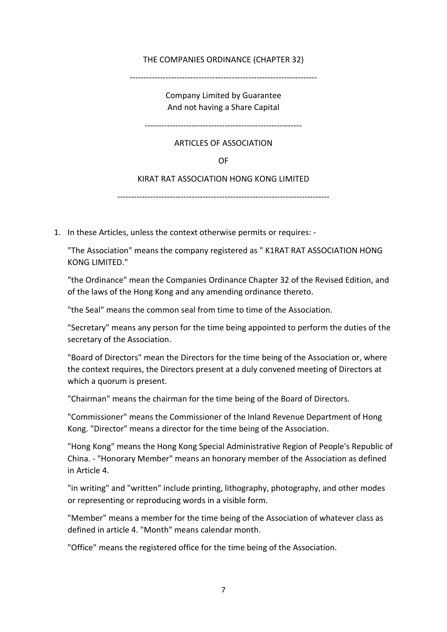# THE COMPANIES ORDINANCE (CHAPTER 32)

--------------------------------------------------------------------

Company Limited by Guarantee And not having a Share Capital

---------------------------------------------------------

## ARTICLES OF ASSOCIATION

OF

## KIRAT RAT ASSOCIATION HONG KONG LIMITED

-----------------------------------------------------------------------------

1. In these Articles, unless the context otherwise permits or requires: -

"The Association" means the company registered as " K1RAT RAT ASSOCIATION HONG KONG LIMITED."

"the Ordinance" mean the Companies Ordinance Chapter 32 of the Revised Edition, and of the laws of the Hong Kong and any amending ordinance thereto.

"the Seal" means the common seal from time to time of the Association.

"Secretary" means any person for the time being appointed to perform the duties of the secretary of the Association.

"Board of Directors" mean the Directors for the time being of the Association or, where the context requires, the Directors present at a duly convened meeting of Directors at which a quorum is present.

"Chairman" means the chairman for the time being of the Board of Directors.

"Commissioner" means the Commissioner of the Inland Revenue Department of Hong Kong. "Director" means a director for the time being of the Association.

"Hong Kong" means the Hong Kong Special Administrative Region of People's Republic of China. - "Honorary Member" means an honorary member of the Association as defined in Article 4.

"in writing" and "written" include printing, lithography, photography, and other modes or representing or reproducing words in a visible form.

"Member" means a member for the time being of the Association of whatever class as defined in article 4. "Month" means calendar month.

"Office" means the registered office for the time being of the Association.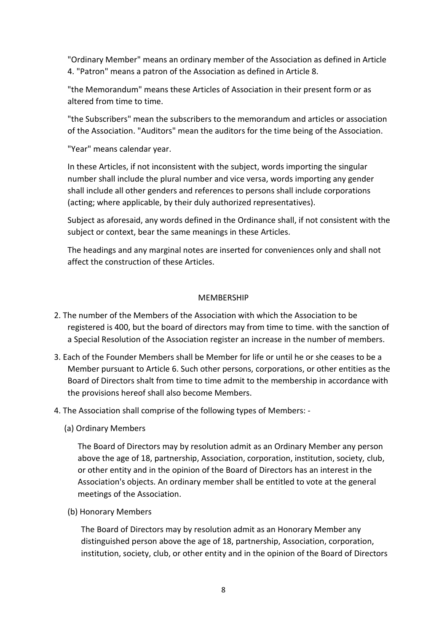"Ordinary Member" means an ordinary member of the Association as defined in Article 4. "Patron" means a patron of the Association as defined in Article 8.

"the Memorandum" means these Articles of Association in their present form or as altered from time to time.

"the Subscribers" mean the subscribers to the memorandum and articles or association of the Association. "Auditors" mean the auditors for the time being of the Association.

"Year" means calendar year.

In these Articles, if not inconsistent with the subject, words importing the singular number shall include the plural number and vice versa, words importing any gender shall include all other genders and references to persons shall include corporations (acting; where applicable, by their duly authorized representatives).

Subject as aforesaid, any words defined in the Ordinance shall, if not consistent with the subject or context, bear the same meanings in these Articles.

The headings and any marginal notes are inserted for conveniences only and shall not affect the construction of these Articles.

# **MEMBERSHIP**

- 2. The number of the Members of the Association with which the Association to be registered is 400, but the board of directors may from time to time. with the sanction of a Special Resolution of the Association register an increase in the number of members.
- 3. Each of the Founder Members shall be Member for life or until he or she ceases to be a Member pursuant to Article 6. Such other persons, corporations, or other entities as the Board of Directors shalt from time to time admit to the membership in accordance with the provisions hereof shall also become Members.
- 4. The Association shall comprise of the following types of Members:
	- (a) Ordinary Members

The Board of Directors may by resolution admit as an Ordinary Member any person above the age of 18, partnership, Association, corporation, institution, society, club, or other entity and in the opinion of the Board of Directors has an interest in the Association's objects. An ordinary member shall be entitled to vote at the general meetings of the Association.

(b) Honorary Members

The Board of Directors may by resolution admit as an Honorary Member any distinguished person above the age of 18, partnership, Association, corporation, institution, society, club, or other entity and in the opinion of the Board of Directors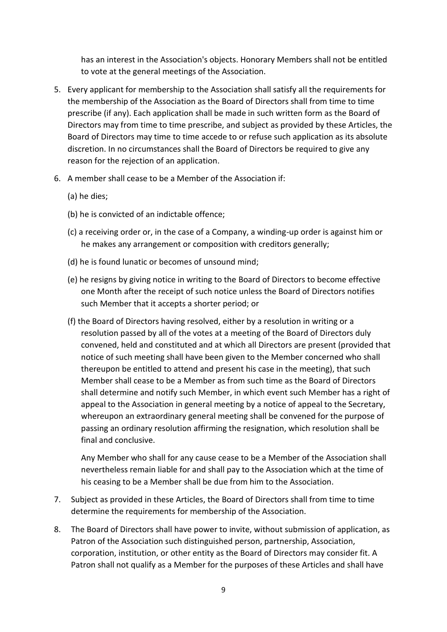has an interest in the Association's objects. Honorary Members shall not be entitled to vote at the general meetings of the Association.

- 5. Every applicant for membership to the Association shall satisfy all the requirements for the membership of the Association as the Board of Directors shall from time to time prescribe (if any). Each application shall be made in such written form as the Board of Directors may from time to time prescribe, and subject as provided by these Articles, the Board of Directors may time to time accede to or refuse such application as its absolute discretion. In no circumstances shall the Board of Directors be required to give any reason for the rejection of an application.
- 6. A member shall cease to be a Member of the Association if:
	- (a) he dies;
	- (b) he is convicted of an indictable offence;
	- (c) a receiving order or, in the case of a Company, a winding-up order is against him or he makes any arrangement or composition with creditors generally;
	- (d) he is found lunatic or becomes of unsound mind;
	- (e) he resigns by giving notice in writing to the Board of Directors to become effective one Month after the receipt of such notice unless the Board of Directors notifies such Member that it accepts a shorter period; or
	- (f) the Board of Directors having resolved, either by a resolution in writing or a resolution passed by all of the votes at a meeting of the Board of Directors duly convened, held and constituted and at which all Directors are present (provided that notice of such meeting shall have been given to the Member concerned who shall thereupon be entitled to attend and present his case in the meeting), that such Member shall cease to be a Member as from such time as the Board of Directors shall determine and notify such Member, in which event such Member has a right of appeal to the Association in general meeting by a notice of appeal to the Secretary, whereupon an extraordinary general meeting shall be convened for the purpose of passing an ordinary resolution affirming the resignation, which resolution shall be final and conclusive.

Any Member who shall for any cause cease to be a Member of the Association shall nevertheless remain liable for and shall pay to the Association which at the time of his ceasing to be a Member shall be due from him to the Association.

- 7. Subject as provided in these Articles, the Board of Directors shall from time to time determine the requirements for membership of the Association.
- 8. The Board of Directors shall have power to invite, without submission of application, as Patron of the Association such distinguished person, partnership, Association, corporation, institution, or other entity as the Board of Directors may consider fit. A Patron shall not qualify as a Member for the purposes of these Articles and shall have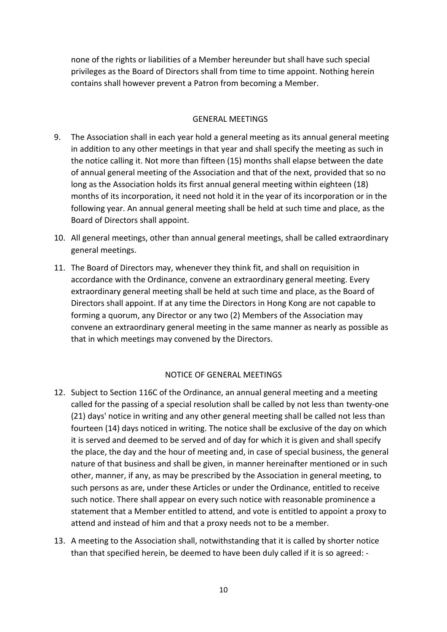none of the rights or liabilities of a Member hereunder but shall have such special privileges as the Board of Directors shall from time to time appoint. Nothing herein contains shall however prevent a Patron from becoming a Member.

# GENERAL MEETINGS

- 9. The Association shall in each year hold a general meeting as its annual general meeting in addition to any other meetings in that year and shall specify the meeting as such in the notice calling it. Not more than fifteen (15) months shall elapse between the date of annual general meeting of the Association and that of the next, provided that so no long as the Association holds its first annual general meeting within eighteen (18) months of its incorporation, it need not hold it in the year of its incorporation or in the following year. An annual general meeting shall be held at such time and place, as the Board of Directors shall appoint.
- 10. All general meetings, other than annual general meetings, shall be called extraordinary general meetings.
- 11. The Board of Directors may, whenever they think fit, and shall on requisition in accordance with the Ordinance, convene an extraordinary general meeting. Every extraordinary general meeting shall be held at such time and place, as the Board of Directors shall appoint. If at any time the Directors in Hong Kong are not capable to forming a quorum, any Director or any two (2) Members of the Association may convene an extraordinary general meeting in the same manner as nearly as possible as that in which meetings may convened by the Directors.

# NOTICE OF GENERAL MEETINGS

- 12. Subject to Section 116C of the Ordinance, an annual general meeting and a meeting called for the passing of a special resolution shall be called by not less than twenty-one (21) days' notice in writing and any other general meeting shall be called not less than fourteen (14) days noticed in writing. The notice shall be exclusive of the day on which it is served and deemed to be served and of day for which it is given and shall specify the place, the day and the hour of meeting and, in case of special business, the general nature of that business and shall be given, in manner hereinafter mentioned or in such other, manner, if any, as may be prescribed by the Association in general meeting, to such persons as are, under these Articles or under the Ordinance, entitled to receive such notice. There shall appear on every such notice with reasonable prominence a statement that a Member entitled to attend, and vote is entitled to appoint a proxy to attend and instead of him and that a proxy needs not to be a member.
- 13. A meeting to the Association shall, notwithstanding that it is called by shorter notice than that specified herein, be deemed to have been duly called if it is so agreed: -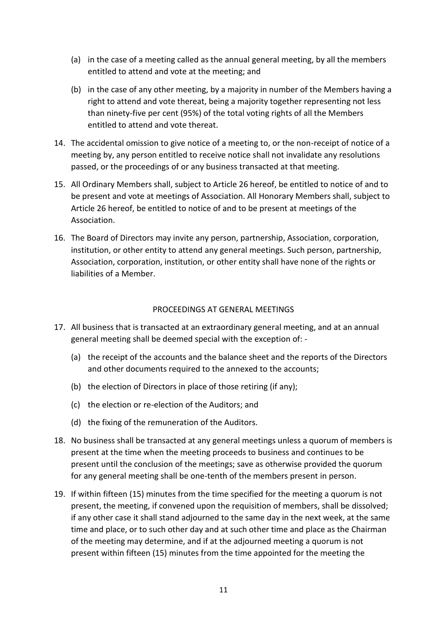- (a) in the case of a meeting called as the annual general meeting, by all the members entitled to attend and vote at the meeting; and
- (b) in the case of any other meeting, by a majority in number of the Members having a right to attend and vote thereat, being a majority together representing not less than ninety-five per cent (95%) of the total voting rights of all the Members entitled to attend and vote thereat.
- 14. The accidental omission to give notice of a meeting to, or the non-receipt of notice of a meeting by, any person entitled to receive notice shall not invalidate any resolutions passed, or the proceedings of or any business transacted at that meeting.
- 15. All Ordinary Members shall, subject to Article 26 hereof, be entitled to notice of and to be present and vote at meetings of Association. All Honorary Members shall, subject to Article 26 hereof, be entitled to notice of and to be present at meetings of the Association.
- 16. The Board of Directors may invite any person, partnership, Association, corporation, institution, or other entity to attend any general meetings. Such person, partnership, Association, corporation, institution, or other entity shall have none of the rights or liabilities of a Member.

# PROCEEDINGS AT GENERAL MEETINGS

- 17. All business that is transacted at an extraordinary general meeting, and at an annual general meeting shall be deemed special with the exception of: -
	- (a) the receipt of the accounts and the balance sheet and the reports of the Directors and other documents required to the annexed to the accounts;
	- (b) the election of Directors in place of those retiring (if any);
	- (c) the election or re-election of the Auditors; and
	- (d) the fixing of the remuneration of the Auditors.
- 18. No business shall be transacted at any general meetings unless a quorum of members is present at the time when the meeting proceeds to business and continues to be present until the conclusion of the meetings; save as otherwise provided the quorum for any general meeting shall be one-tenth of the members present in person.
- 19. If within fifteen (15) minutes from the time specified for the meeting a quorum is not present, the meeting, if convened upon the requisition of members, shall be dissolved; if any other case it shall stand adjourned to the same day in the next week, at the same time and place, or to such other day and at such other time and place as the Chairman of the meeting may determine, and if at the adjourned meeting a quorum is not present within fifteen (15) minutes from the time appointed for the meeting the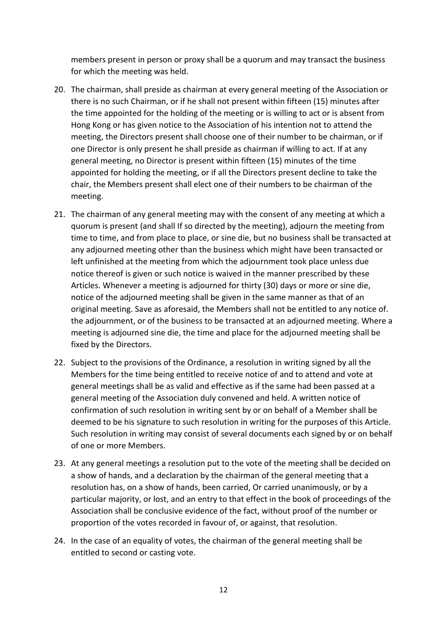members present in person or proxy shall be a quorum and may transact the business for which the meeting was held.

- 20. The chairman, shall preside as chairman at every general meeting of the Association or there is no such Chairman, or if he shall not present within fifteen (15) minutes after the time appointed for the holding of the meeting or is willing to act or is absent from Hong Kong or has given notice to the Association of his intention not to attend the meeting, the Directors present shall choose one of their number to be chairman, or if one Director is only present he shall preside as chairman if willing to act. If at any general meeting, no Director is present within fifteen (15) minutes of the time appointed for holding the meeting, or if all the Directors present decline to take the chair, the Members present shall elect one of their numbers to be chairman of the meeting.
- 21. The chairman of any general meeting may with the consent of any meeting at which a quorum is present (and shall If so directed by the meeting), adjourn the meeting from time to time, and from place to place, or sine die, but no business shall be transacted at any adjourned meeting other than the business which might have been transacted or left unfinished at the meeting from which the adjournment took place unless due notice thereof is given or such notice is waived in the manner prescribed by these Articles. Whenever a meeting is adjourned for thirty (30) days or more or sine die, notice of the adjourned meeting shall be given in the same manner as that of an original meeting. Save as aforesaid, the Members shall not be entitled to any notice of. the adjournment, or of the business to be transacted at an adjourned meeting. Where a meeting is adjourned sine die, the time and place for the adjourned meeting shall be fixed by the Directors.
- 22. Subject to the provisions of the Ordinance, a resolution in writing signed by all the Members for the time being entitled to receive notice of and to attend and vote at general meetings shall be as valid and effective as if the same had been passed at a general meeting of the Association duly convened and held. A written notice of confirmation of such resolution in writing sent by or on behalf of a Member shall be deemed to be his signature to such resolution in writing for the purposes of this Article. Such resolution in writing may consist of several documents each signed by or on behalf of one or more Members.
- 23. At any general meetings a resolution put to the vote of the meeting shall be decided on a show of hands, and a declaration by the chairman of the general meeting that a resolution has, on a show of hands, been carried, Or carried unanimously, or by a particular majority, or lost, and an entry to that effect in the book of proceedings of the Association shall be conclusive evidence of the fact, without proof of the number or proportion of the votes recorded in favour of, or against, that resolution.
- 24. In the case of an equality of votes, the chairman of the general meeting shall be entitled to second or casting vote.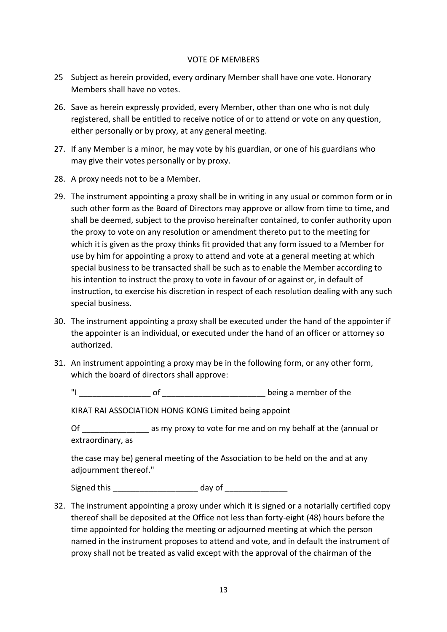#### VOTE OF MEMBERS

- 25 Subject as herein provided, every ordinary Member shall have one vote. Honorary Members shall have no votes.
- 26. Save as herein expressly provided, every Member, other than one who is not duly registered, shall be entitled to receive notice of or to attend or vote on any question, either personally or by proxy, at any general meeting.
- 27. If any Member is a minor, he may vote by his guardian, or one of his guardians who may give their votes personally or by proxy.
- 28. A proxy needs not to be a Member.
- 29. The instrument appointing a proxy shall be in writing in any usual or common form or in such other form as the Board of Directors may approve or allow from time to time, and shall be deemed, subject to the proviso hereinafter contained, to confer authority upon the proxy to vote on any resolution or amendment thereto put to the meeting for which it is given as the proxy thinks fit provided that any form issued to a Member for use by him for appointing a proxy to attend and vote at a general meeting at which special business to be transacted shall be such as to enable the Member according to his intention to instruct the proxy to vote in favour of or against or, in default of instruction, to exercise his discretion in respect of each resolution dealing with any such special business.
- 30. The instrument appointing a proxy shall be executed under the hand of the appointer if the appointer is an individual, or executed under the hand of an officer or attorney so authorized.
- 31. An instrument appointing a proxy may be in the following form, or any other form, which the board of directors shall approve:

"I \_\_\_\_\_\_\_\_\_\_\_\_\_\_\_\_ of \_\_\_\_\_\_\_\_\_\_\_\_\_\_\_\_\_\_\_\_\_\_\_ being a member of the

KIRAT RAI ASSOCIATION HONG KONG Limited being appoint

Of as my proxy to vote for me and on my behalf at the (annual or extraordinary, as

the case may be) general meeting of the Association to be held on the and at any adjournment thereof."

Signed this example and day of  $\sim$ 

32. The instrument appointing a proxy under which it is signed or a notarially certified copy thereof shall be deposited at the Office not less than forty-eight (48) hours before the time appointed for holding the meeting or adjourned meeting at which the person named in the instrument proposes to attend and vote, and in default the instrument of proxy shall not be treated as valid except with the approval of the chairman of the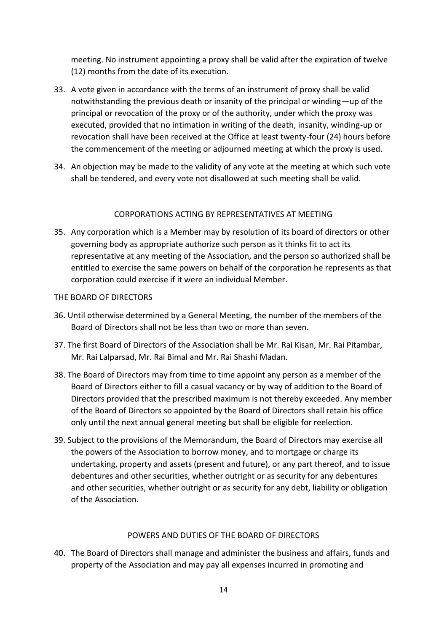meeting. No instrument appointing a proxy shall be valid after the expiration of twelve (12) months from the date of its execution.

- 33. A vote given in accordance with the terms of an instrument of proxy shall be valid notwithstanding the previous death or insanity of the principal or winding—up of the principal or revocation of the proxy or of the authority, under which the proxy was executed, provided that no intimation in writing of the death, insanity, winding-up or revocation shall have been received at the Office at least twenty-four (24) hours before the commencement of the meeting or adjourned meeting at which the proxy is used.
- 34. An objection may be made to the validity of any vote at the meeting at which such vote shall be tendered, and every vote not disallowed at such meeting shall be valid.

# CORPORATIONS ACTING BY REPRESENTATIVES AT MEETING

35. Any corporation which is a Member may by resolution of its board of directors or other governing body as appropriate authorize such person as it thinks fit to act its representative at any meeting of the Association, and the person so authorized shall be entitled to exercise the same powers on behalf of the corporation he represents as that corporation could exercise if it were an individual Member.

# THE BOARD OF DIRECTORS

- 36. Until otherwise determined by a General Meeting, the number of the members of the Board of Directors shall not be less than two or more than seven.
- 37. The first Board of Directors of the Association shall be Mr. Rai Kisan, Mr. Rai Pitambar, Mr. Rai Lalparsad, Mr. Rai Bimal and Mr. Rai Shashi Madan.
- 38. The Board of Directors may from time to time appoint any person as a member of the Board of Directors either to fill a casual vacancy or by way of addition to the Board of Directors provided that the prescribed maximum is not thereby exceeded. Any member of the Board of Directors so appointed by the Board of Directors shall retain his office only until the next annual general meeting but shall be eligible for reelection.
- 39. Subject to the provisions of the Memorandum, the Board of Directors may exercise all the powers of the Association to borrow money, and to mortgage or charge its undertaking, property and assets (present and future), or any part thereof, and to issue debentures and other securities, whether outright or as security for any debentures and other securities, whether outright or as security for any debt, liability or obligation of the Association.

# POWERS AND DUTIES OF THE BOARD OF DIRECTORS

40. The Board of Directors shall manage and administer the business and affairs, funds and property of the Association and may pay all expenses incurred in promoting and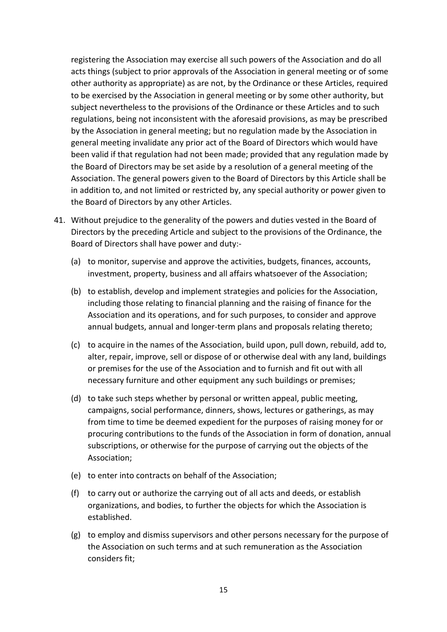registering the Association may exercise all such powers of the Association and do all acts things (subject to prior approvals of the Association in general meeting or of some other authority as appropriate) as are not, by the Ordinance or these Articles, required to be exercised by the Association in general meeting or by some other authority, but subject nevertheless to the provisions of the Ordinance or these Articles and to such regulations, being not inconsistent with the aforesaid provisions, as may be prescribed by the Association in general meeting; but no regulation made by the Association in general meeting invalidate any prior act of the Board of Directors which would have been valid if that regulation had not been made; provided that any regulation made by the Board of Directors may be set aside by a resolution of a general meeting of the Association. The general powers given to the Board of Directors by this Article shall be in addition to, and not limited or restricted by, any special authority or power given to the Board of Directors by any other Articles.

- 41. Without prejudice to the generality of the powers and duties vested in the Board of Directors by the preceding Article and subject to the provisions of the Ordinance, the Board of Directors shall have power and duty:-
	- (a) to monitor, supervise and approve the activities, budgets, finances, accounts, investment, property, business and all affairs whatsoever of the Association;
	- (b) to establish, develop and implement strategies and policies for the Association, including those relating to financial planning and the raising of finance for the Association and its operations, and for such purposes, to consider and approve annual budgets, annual and longer-term plans and proposals relating thereto;
	- (c) to acquire in the names of the Association, build upon, pull down, rebuild, add to, alter, repair, improve, sell or dispose of or otherwise deal with any land, buildings or premises for the use of the Association and to furnish and fit out with all necessary furniture and other equipment any such buildings or premises;
	- (d) to take such steps whether by personal or written appeal, public meeting, campaigns, social performance, dinners, shows, lectures or gatherings, as may from time to time be deemed expedient for the purposes of raising money for or procuring contributions to the funds of the Association in form of donation, annual subscriptions, or otherwise for the purpose of carrying out the objects of the Association;
	- (e) to enter into contracts on behalf of the Association;
	- (f) to carry out or authorize the carrying out of all acts and deeds, or establish organizations, and bodies, to further the objects for which the Association is established.
	- (g) to employ and dismiss supervisors and other persons necessary for the purpose of the Association on such terms and at such remuneration as the Association considers fit;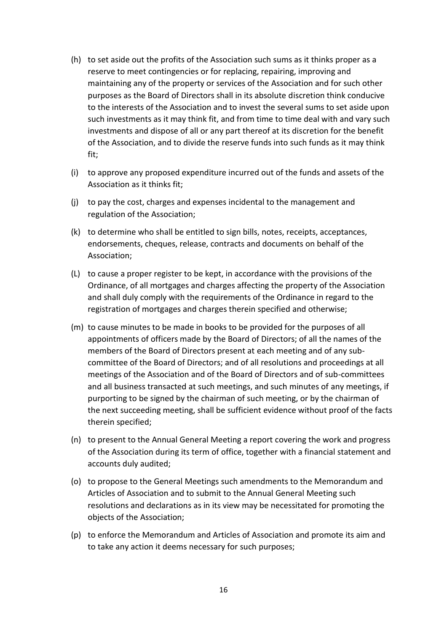- (h) to set aside out the profits of the Association such sums as it thinks proper as a reserve to meet contingencies or for replacing, repairing, improving and maintaining any of the property or services of the Association and for such other purposes as the Board of Directors shall in its absolute discretion think conducive to the interests of the Association and to invest the several sums to set aside upon such investments as it may think fit, and from time to time deal with and vary such investments and dispose of all or any part thereof at its discretion for the benefit of the Association, and to divide the reserve funds into such funds as it may think fit;
- (i) to approve any proposed expenditure incurred out of the funds and assets of the Association as it thinks fit;
- (j) to pay the cost, charges and expenses incidental to the management and regulation of the Association;
- (k) to determine who shall be entitled to sign bills, notes, receipts, acceptances, endorsements, cheques, release, contracts and documents on behalf of the Association;
- (L) to cause a proper register to be kept, in accordance with the provisions of the Ordinance, of all mortgages and charges affecting the property of the Association and shall duly comply with the requirements of the Ordinance in regard to the registration of mortgages and charges therein specified and otherwise;
- (m) to cause minutes to be made in books to be provided for the purposes of all appointments of officers made by the Board of Directors; of all the names of the members of the Board of Directors present at each meeting and of any subcommittee of the Board of Directors; and of all resolutions and proceedings at all meetings of the Association and of the Board of Directors and of sub-committees and all business transacted at such meetings, and such minutes of any meetings, if purporting to be signed by the chairman of such meeting, or by the chairman of the next succeeding meeting, shall be sufficient evidence without proof of the facts therein specified;
- (n) to present to the Annual General Meeting a report covering the work and progress of the Association during its term of office, together with a financial statement and accounts duly audited;
- (o) to propose to the General Meetings such amendments to the Memorandum and Articles of Association and to submit to the Annual General Meeting such resolutions and declarations as in its view may be necessitated for promoting the objects of the Association;
- (p) to enforce the Memorandum and Articles of Association and promote its aim and to take any action it deems necessary for such purposes;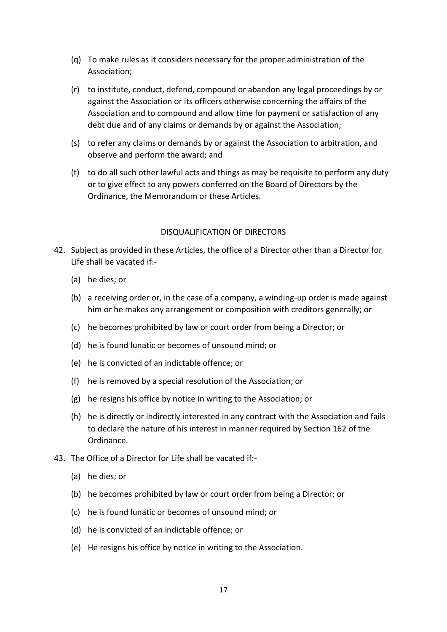- (q) To make rules as it considers necessary for the proper administration of the Association;
- (r) to institute, conduct, defend, compound or abandon any legal proceedings by or against the Association or its officers otherwise concerning the affairs of the Association and to compound and allow time for payment or satisfaction of any debt due and of any claims or demands by or against the Association;
- (s) to refer any claims or demands by or against the Association to arbitration, and observe and perform the award; and
- (t) to do all such other lawful acts and things as may be requisite to perform any duty or to give effect to any powers conferred on the Board of Directors by the Ordinance, the Memorandum or these Articles.

# DISQUALIFICATION OF DIRECTORS

- 42. Subject as provided in these Articles, the office of a Director other than a Director for Life shall be vacated if:-
	- (a) he dies; or
	- (b) a receiving order or, in the case of a company, a winding-up order is made against him or he makes any arrangement or composition with creditors generally; or
	- (c) he becomes prohibited by law or court order from being a Director; or
	- (d) he is found lunatic or becomes of unsound mind; or
	- (e) he is convicted of an indictable offence; or
	- (f) he is removed by a special resolution of the Association; or
	- (g) he resigns his office by notice in writing to the Association; or
	- (h) he is directly or indirectly interested in any contract with the Association and fails to declare the nature of his interest in manner required by Section 162 of the Ordinance.
- 43. The Office of a Director for Life shall be vacated if:-
	- (a) he dies; or
	- (b) he becomes prohibited by law or court order from being a Director; or
	- (c) he is found lunatic or becomes of unsound mind; or
	- (d) he is convicted of an indictable offence; or
	- (e) He resigns his office by notice in writing to the Association.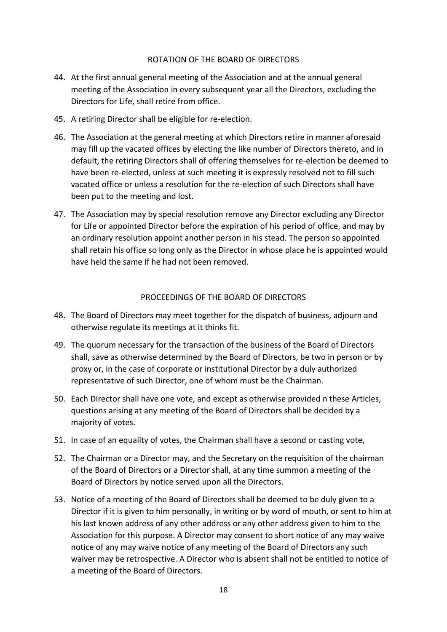## ROTATION OF THE BOARD OF DIRECTORS

- 44. At the first annual general meeting of the Association and at the annual general meeting of the Association in every subsequent year all the Directors, excluding the Directors for Life, shall retire from office.
- 45. A retiring Director shall be eligible for re-election.
- 46. The Association at the general meeting at which Directors retire in manner aforesaid may fill up the vacated offices by electing the like number of Directors thereto, and in default, the retiring Directors shall of offering themselves for re-election be deemed to have been re-elected, unless at such meeting it is expressly resolved not to fill such vacated office or unless a resolution for the re-election of such Directors shall have been put to the meeting and lost.
- 47. The Association may by special resolution remove any Director excluding any Director for Life or appointed Director before the expiration of his period of office, and may by an ordinary resolution appoint another person in his stead. The person so appointed shall retain his office so long only as the Director in whose place he is appointed would have held the same if he had not been removed.

# PROCEEDINGS OF THE BOARD OF DIRECTORS

- 48. The Board of Directors may meet together for the dispatch of business, adjourn and otherwise regulate its meetings at it thinks fit.
- 49. The quorum necessary for the transaction of the business of the Board of Directors shall, save as otherwise determined by the Board of Directors, be two in person or by proxy or, in the case of corporate or institutional Director by a duly authorized representative of such Director, one of whom must be the Chairman.
- 50. Each Director shall have one vote, and except as otherwise provided n these Articles, questions arising at any meeting of the Board of Directors shall be decided by a majority of votes.
- 51. In case of an equality of votes, the Chairman shall have a second or casting vote,
- 52. The Chairman or a Director may, and the Secretary on the requisition of the chairman of the Board of Directors or a Director shall, at any time summon a meeting of the Board of Directors by notice served upon all the Directors.
- 53. Notice of a meeting of the Board of Directors shall be deemed to be duly given to a Director if it is given to him personally, in writing or by word of mouth, or sent to him at his last known address of any other address or any other address given to him to the Association for this purpose. A Director may consent to short notice of any may waive notice of any may waive notice of any meeting of the Board of Directors any such waiver may be retrospective. A Director who is absent shall not be entitled to notice of a meeting of the Board of Directors.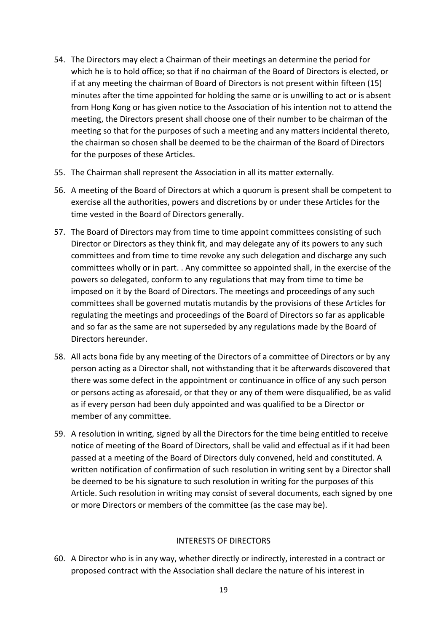- 54. The Directors may elect a Chairman of their meetings an determine the period for which he is to hold office; so that if no chairman of the Board of Directors is elected, or if at any meeting the chairman of Board of Directors is not present within fifteen (15) minutes after the time appointed for holding the same or is unwilling to act or is absent from Hong Kong or has given notice to the Association of his intention not to attend the meeting, the Directors present shall choose one of their number to be chairman of the meeting so that for the purposes of such a meeting and any matters incidental thereto, the chairman so chosen shall be deemed to be the chairman of the Board of Directors for the purposes of these Articles.
- 55. The Chairman shall represent the Association in all its matter externally.
- 56. A meeting of the Board of Directors at which a quorum is present shall be competent to exercise all the authorities, powers and discretions by or under these Articles for the time vested in the Board of Directors generally.
- 57. The Board of Directors may from time to time appoint committees consisting of such Director or Directors as they think fit, and may delegate any of its powers to any such committees and from time to time revoke any such delegation and discharge any such committees wholly or in part. . Any committee so appointed shall, in the exercise of the powers so delegated, conform to any regulations that may from time to time be imposed on it by the Board of Directors. The meetings and proceedings of any such committees shall be governed mutatis mutandis by the provisions of these Articles for regulating the meetings and proceedings of the Board of Directors so far as applicable and so far as the same are not superseded by any regulations made by the Board of Directors hereunder.
- 58. All acts bona fide by any meeting of the Directors of a committee of Directors or by any person acting as a Director shall, not withstanding that it be afterwards discovered that there was some defect in the appointment or continuance in office of any such person or persons acting as aforesaid, or that they or any of them were disqualified, be as valid as if every person had been duly appointed and was qualified to be a Director or member of any committee.
- 59. A resolution in writing, signed by all the Directors for the time being entitled to receive notice of meeting of the Board of Directors, shall be valid and effectual as if it had been passed at a meeting of the Board of Directors duly convened, held and constituted. A written notification of confirmation of such resolution in writing sent by a Director shall be deemed to be his signature to such resolution in writing for the purposes of this Article. Such resolution in writing may consist of several documents, each signed by one or more Directors or members of the committee (as the case may be).

# INTERESTS OF DIRECTORS

60. A Director who is in any way, whether directly or indirectly, interested in a contract or proposed contract with the Association shall declare the nature of his interest in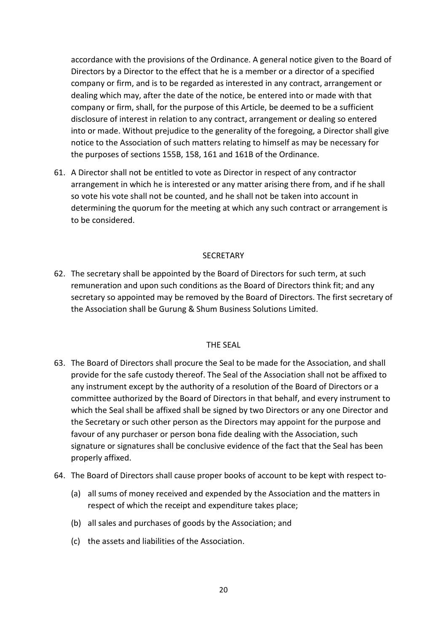accordance with the provisions of the Ordinance. A general notice given to the Board of Directors by a Director to the effect that he is a member or a director of a specified company or firm, and is to be regarded as interested in any contract, arrangement or dealing which may, after the date of the notice, be entered into or made with that company or firm, shall, for the purpose of this Article, be deemed to be a sufficient disclosure of interest in relation to any contract, arrangement or dealing so entered into or made. Without prejudice to the generality of the foregoing, a Director shall give notice to the Association of such matters relating to himself as may be necessary for the purposes of sections 155B, 158, 161 and 161B of the Ordinance.

61. A Director shall not be entitled to vote as Director in respect of any contractor arrangement in which he is interested or any matter arising there from, and if he shall so vote his vote shall not be counted, and he shall not be taken into account in determining the quorum for the meeting at which any such contract or arrangement is to be considered.

## SECRETARY

62. The secretary shall be appointed by the Board of Directors for such term, at such remuneration and upon such conditions as the Board of Directors think fit; and any secretary so appointed may be removed by the Board of Directors. The first secretary of the Association shall be Gurung & Shum Business Solutions Limited.

## THE SEAL

- 63. The Board of Directors shall procure the Seal to be made for the Association, and shall provide for the safe custody thereof. The Seal of the Association shall not be affixed to any instrument except by the authority of a resolution of the Board of Directors or a committee authorized by the Board of Directors in that behalf, and every instrument to which the Seal shall be affixed shall be signed by two Directors or any one Director and the Secretary or such other person as the Directors may appoint for the purpose and favour of any purchaser or person bona fide dealing with the Association, such signature or signatures shall be conclusive evidence of the fact that the Seal has been properly affixed.
- 64. The Board of Directors shall cause proper books of account to be kept with respect to-
	- (a) all sums of money received and expended by the Association and the matters in respect of which the receipt and expenditure takes place;
	- (b) all sales and purchases of goods by the Association; and
	- (c) the assets and liabilities of the Association.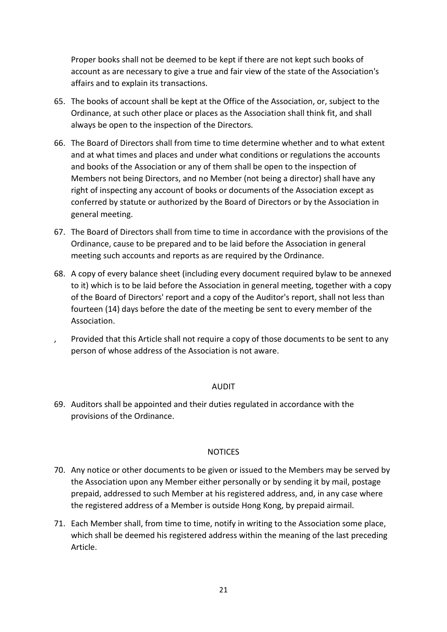Proper books shall not be deemed to be kept if there are not kept such books of account as are necessary to give a true and fair view of the state of the Association's affairs and to explain its transactions.

- 65. The books of account shall be kept at the Office of the Association, or, subject to the Ordinance, at such other place or places as the Association shall think fit, and shall always be open to the inspection of the Directors.
- 66. The Board of Directors shall from time to time determine whether and to what extent and at what times and places and under what conditions or regulations the accounts and books of the Association or any of them shall be open to the inspection of Members not being Directors, and no Member (not being a director) shall have any right of inspecting any account of books or documents of the Association except as conferred by statute or authorized by the Board of Directors or by the Association in general meeting.
- 67. The Board of Directors shall from time to time in accordance with the provisions of the Ordinance, cause to be prepared and to be laid before the Association in general meeting such accounts and reports as are required by the Ordinance.
- 68. A copy of every balance sheet (including every document required bylaw to be annexed to it) which is to be laid before the Association in general meeting, together with a copy of the Board of Directors' report and a copy of the Auditor's report, shall not less than fourteen (14) days before the date of the meeting be sent to every member of the Association.
	- , Provided that this Article shall not require a copy of those documents to be sent to any person of whose address of the Association is not aware.

# AUDIT

69. Auditors shall be appointed and their duties regulated in accordance with the provisions of the Ordinance.

## NOTICES

- 70. Any notice or other documents to be given or issued to the Members may be served by the Association upon any Member either personally or by sending it by mail, postage prepaid, addressed to such Member at his registered address, and, in any case where the registered address of a Member is outside Hong Kong, by prepaid airmail.
- 71. Each Member shall, from time to time, notify in writing to the Association some place, which shall be deemed his registered address within the meaning of the last preceding Article.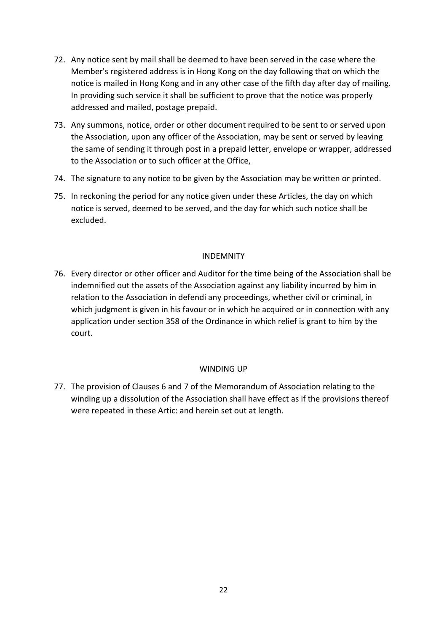- 72. Any notice sent by mail shall be deemed to have been served in the case where the Member's registered address is in Hong Kong on the day following that on which the notice is mailed in Hong Kong and in any other case of the fifth day after day of mailing. In providing such service it shall be sufficient to prove that the notice was properly addressed and mailed, postage prepaid.
- 73. Any summons, notice, order or other document required to be sent to or served upon the Association, upon any officer of the Association, may be sent or served by leaving the same of sending it through post in a prepaid letter, envelope or wrapper, addressed to the Association or to such officer at the Office,
- 74. The signature to any notice to be given by the Association may be written or printed.
- 75. In reckoning the period for any notice given under these Articles, the day on which notice is served, deemed to be served, and the day for which such notice shall be excluded.

# INDEMNITY

76. Every director or other officer and Auditor for the time being of the Association shall be indemnified out the assets of the Association against any liability incurred by him in relation to the Association in defendi any proceedings, whether civil or criminal, in which judgment is given in his favour or in which he acquired or in connection with any application under section 358 of the Ordinance in which relief is grant to him by the court.

# WINDING UP

77. The provision of Clauses 6 and 7 of the Memorandum of Association relating to the winding up a dissolution of the Association shall have effect as if the provisions thereof were repeated in these Artic: and herein set out at length.